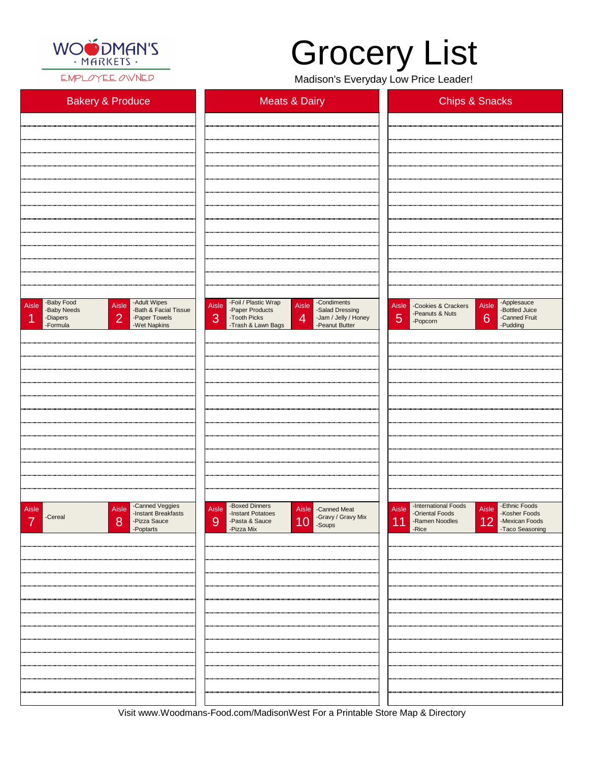

EMPLOYEE OWNED

Visit www.Woodmans-Food.com/MadisonWest For a Printable Store Map & Directory

## Grocery List

Madison's Everyday Low Price Leader!

| <b>Bakery &amp; Produce</b>                                                                                                                                     | <b>Meats &amp; Dairy</b>                                                                                                                                                                           | <b>Chips &amp; Snacks</b>                                                                                                              |  |  |  |
|-----------------------------------------------------------------------------------------------------------------------------------------------------------------|----------------------------------------------------------------------------------------------------------------------------------------------------------------------------------------------------|----------------------------------------------------------------------------------------------------------------------------------------|--|--|--|
|                                                                                                                                                                 |                                                                                                                                                                                                    |                                                                                                                                        |  |  |  |
|                                                                                                                                                                 |                                                                                                                                                                                                    |                                                                                                                                        |  |  |  |
|                                                                                                                                                                 |                                                                                                                                                                                                    |                                                                                                                                        |  |  |  |
|                                                                                                                                                                 |                                                                                                                                                                                                    |                                                                                                                                        |  |  |  |
|                                                                                                                                                                 |                                                                                                                                                                                                    |                                                                                                                                        |  |  |  |
|                                                                                                                                                                 |                                                                                                                                                                                                    |                                                                                                                                        |  |  |  |
|                                                                                                                                                                 |                                                                                                                                                                                                    |                                                                                                                                        |  |  |  |
|                                                                                                                                                                 |                                                                                                                                                                                                    |                                                                                                                                        |  |  |  |
|                                                                                                                                                                 |                                                                                                                                                                                                    |                                                                                                                                        |  |  |  |
|                                                                                                                                                                 |                                                                                                                                                                                                    |                                                                                                                                        |  |  |  |
| -Baby Food<br>-Adult Wipes<br>-Bath & Facial Tissue<br>Aisle<br>Aisle<br>-Baby Needs<br>$\overline{2}$<br>-Paper Towels<br>-Diapers<br>-Wet Napkins<br>-Formula | -Foil / Plastic Wrap<br>-Condiments<br>Aisle<br>Aisle<br>-Salad Dressing<br>-Paper Products<br>3<br>$\overline{4}$<br>-Tooth Picks<br>-Jam / Jelly / Honey<br>-Trash & Lawn Bags<br>-Peanut Butter | Aisle Applesauce<br>Aisle - Cookies & Crackers<br>-Bottled Juice<br>-Peanuts & Nuts<br>5<br>6<br>-Canned Fruit<br>-Popcorn<br>-Pudding |  |  |  |
|                                                                                                                                                                 |                                                                                                                                                                                                    |                                                                                                                                        |  |  |  |
|                                                                                                                                                                 |                                                                                                                                                                                                    |                                                                                                                                        |  |  |  |
|                                                                                                                                                                 |                                                                                                                                                                                                    |                                                                                                                                        |  |  |  |
|                                                                                                                                                                 |                                                                                                                                                                                                    |                                                                                                                                        |  |  |  |
|                                                                                                                                                                 |                                                                                                                                                                                                    |                                                                                                                                        |  |  |  |
|                                                                                                                                                                 |                                                                                                                                                                                                    |                                                                                                                                        |  |  |  |
|                                                                                                                                                                 |                                                                                                                                                                                                    |                                                                                                                                        |  |  |  |
|                                                                                                                                                                 |                                                                                                                                                                                                    |                                                                                                                                        |  |  |  |
|                                                                                                                                                                 |                                                                                                                                                                                                    |                                                                                                                                        |  |  |  |
|                                                                                                                                                                 |                                                                                                                                                                                                    |                                                                                                                                        |  |  |  |
| -Canned Veggies<br>Aisle<br>Aisle<br>-Instant Breakfasts<br>C                                                                                                   | -Boxed Dinners<br>Aisle<br>Aisle - Canned Meat<br>-Instant Potatoes<br>$C_{201}$                                                                                                                   | -International Foods<br>-Ethnic Foods<br>Aisle<br>Aisle<br>-Oriental Foods<br>-Kosher Foods                                            |  |  |  |

| -Cereal<br>$\rightarrow$ | <b>INDIAN DI CANTAOLO</b><br>8<br>-Pizza Sauce<br>-Poptarts | <b>INDIAN LORGIOUS</b><br>9<br>-Pasta & Sauce<br>-Pizza Mix | $\begin{array}{ c c } \hline \textbf{10} & \text{-Gravy / Gravy Mix} \ \hline \end{array}$ | <b>Printing Library</b><br><b>PRODUCT LOOPS</b><br>12 -Mexican Foods<br>-Taco Seasoning<br>11<br>-Ramen Noodles<br>-Rice |
|--------------------------|-------------------------------------------------------------|-------------------------------------------------------------|--------------------------------------------------------------------------------------------|--------------------------------------------------------------------------------------------------------------------------|
|                          |                                                             |                                                             |                                                                                            |                                                                                                                          |
|                          |                                                             |                                                             |                                                                                            |                                                                                                                          |
|                          |                                                             |                                                             |                                                                                            |                                                                                                                          |
|                          |                                                             |                                                             |                                                                                            |                                                                                                                          |
|                          |                                                             |                                                             |                                                                                            |                                                                                                                          |
|                          |                                                             |                                                             |                                                                                            |                                                                                                                          |
|                          |                                                             |                                                             |                                                                                            |                                                                                                                          |
|                          |                                                             |                                                             |                                                                                            |                                                                                                                          |
|                          |                                                             |                                                             |                                                                                            |                                                                                                                          |